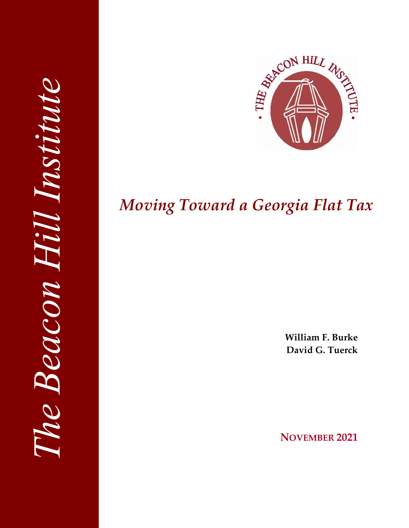

# *Moving Toward a Georgia Flat Tax*

**William F. Burke David G. Tuerck**

**NOVEMBER 2021**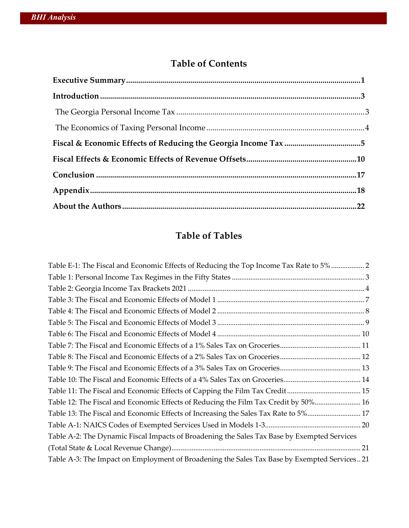# **Table of Contents**

# **Table of Tables**

| Table E-1: The Fiscal and Economic Effects of Reducing the Top Income Tax Rate to 5% 2       |
|----------------------------------------------------------------------------------------------|
|                                                                                              |
|                                                                                              |
|                                                                                              |
|                                                                                              |
|                                                                                              |
|                                                                                              |
|                                                                                              |
|                                                                                              |
|                                                                                              |
|                                                                                              |
|                                                                                              |
| Table 12: The Fiscal and Economic Effects of Reducing the Film Tax Credit by 50% 16          |
| Table 13: The Fiscal and Economic Effects of Increasing the Sales Tax Rate to 5% 17          |
|                                                                                              |
| Table A-2: The Dynamic Fiscal Impacts of Broadening the Sales Tax Base by Exempted Services  |
|                                                                                              |
| Table A-3: The Impact on Employment of Broadening the Sales Tax Base by Exempted Services 21 |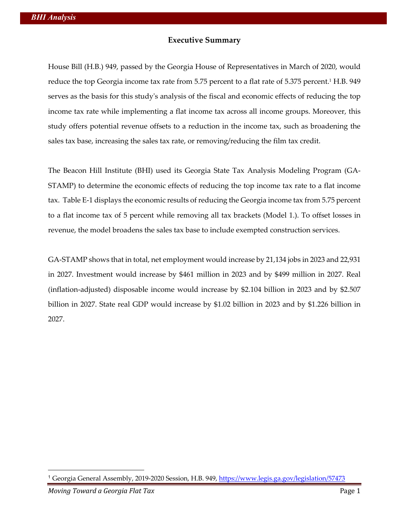#### **Executive Summary**

House Bill (H.B.) 949, passed by the Georgia House of Representatives in March of 2020, would reduce the top Georgia income tax rate from 5.75 percent to a flat rate of 5.375 percent.<sup>1</sup> H.B. 949 serves as the basis for this study's analysis of the fiscal and economic effects of reducing the top income tax rate while implementing a flat income tax across all income groups. Moreover, this study offers potential revenue offsets to a reduction in the income tax, such as broadening the sales tax base, increasing the sales tax rate, or removing/reducing the film tax credit.

The Beacon Hill Institute (BHI) used its Georgia State Tax Analysis Modeling Program (GA-STAMP) to determine the economic effects of reducing the top income tax rate to a flat income tax. Table E-1 displays the economic results of reducing the Georgia income tax from 5.75 percent to a flat income tax of 5 percent while removing all tax brackets (Model 1.). To offset losses in revenue, the model broadens the sales tax base to include exempted construction services.

GA-STAMP shows that in total, net employment would increase by 21,134 jobs in 2023 and 22,931 in 2027. Investment would increase by \$461 million in 2023 and by \$499 million in 2027. Real (inflation-adjusted) disposable income would increase by \$2.104 billion in 2023 and by \$2.507 billion in 2027. State real GDP would increase by \$1.02 billion in 2023 and by \$1.226 billion in 2027.

<sup>&</sup>lt;sup>1</sup> Georgia General Assembly, 2019-2020 Session, H.B. 949, https://www.legis.ga.gov/legislation/57473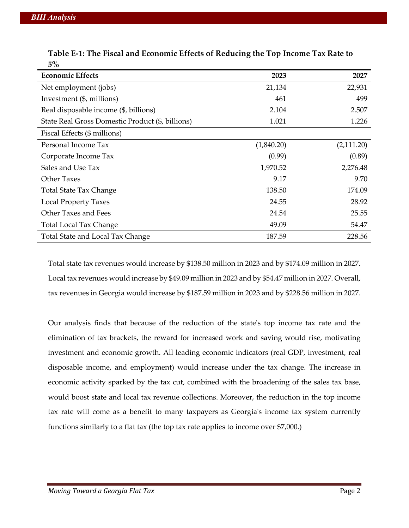| <b>Economic Effects</b>                          | 2023       | 2027       |
|--------------------------------------------------|------------|------------|
| Net employment (jobs)                            | 21,134     | 22,931     |
| Investment (\$, millions)                        | 461        | 499        |
| Real disposable income (\$, billions)            | 2.104      | 2.507      |
| State Real Gross Domestic Product (\$, billions) | 1.021      | 1.226      |
| Fiscal Effects (\$ millions)                     |            |            |
| Personal Income Tax                              | (1,840.20) | (2,111.20) |
| Corporate Income Tax                             | (0.99)     | (0.89)     |
| Sales and Use Tax                                | 1,970.52   | 2,276.48   |
| <b>Other Taxes</b>                               | 9.17       | 9.70       |
| <b>Total State Tax Change</b>                    | 138.50     | 174.09     |
| <b>Local Property Taxes</b>                      | 24.55      | 28.92      |
| Other Taxes and Fees                             | 24.54      | 25.55      |
| <b>Total Local Tax Change</b>                    | 49.09      | 54.47      |
| Total State and Local Tax Change                 | 187.59     | 228.56     |

**Table E-1: The Fiscal and Economic Effects of Reducing the Top Income Tax Rate to 5%**

Total state tax revenues would increase by \$138.50 million in 2023 and by \$174.09 million in 2027. Local tax revenues would increase by \$49.09 million in 2023 and by \$54.47 million in 2027. Overall, tax revenues in Georgia would increase by \$187.59 million in 2023 and by \$228.56 million in 2027.

Our analysis finds that because of the reduction of the state's top income tax rate and the elimination of tax brackets, the reward for increased work and saving would rise, motivating investment and economic growth. All leading economic indicators (real GDP, investment, real disposable income, and employment) would increase under the tax change. The increase in economic activity sparked by the tax cut, combined with the broadening of the sales tax base, would boost state and local tax revenue collections. Moreover, the reduction in the top income tax rate will come as a benefit to many taxpayers as Georgia's income tax system currently functions similarly to a flat tax (the top tax rate applies to income over \$7,000.)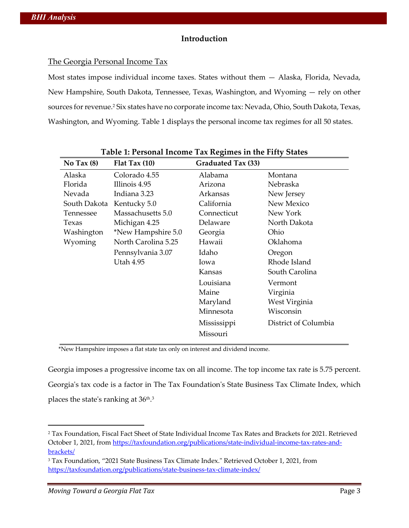#### **Introduction**

#### The Georgia Personal Income Tax

Most states impose individual income taxes. States without them — Alaska, Florida, Nevada, New Hampshire, South Dakota, Tennessee, Texas, Washington, and Wyoming — rely on other sources for revenue.<sup>2</sup> Six states have no corporate income tax: Nevada, Ohio, South Dakota, Texas, Washington, and Wyoming. Table 1 displays the personal income tax regimes for all 50 states.

| No Tax $(8)$ | Flat Tax $(10)$     | Graduated Tax (33) |                      |
|--------------|---------------------|--------------------|----------------------|
| Alaska       | Colorado 4.55       | Alabama            | Montana              |
| Florida      | Illinois 4.95       | Arizona            | Nebraska             |
| Nevada       | Indiana 3.23        | Arkansas           | New Jersey           |
| South Dakota | Kentucky 5.0        | California         | New Mexico           |
| Tennessee    | Massachusetts 5.0   | Connecticut        | New York             |
| Texas        | Michigan 4.25       | Delaware           | North Dakota         |
| Washington   | *New Hampshire 5.0  | Georgia            | Ohio                 |
| Wyoming      | North Carolina 5.25 | Hawaii             | Oklahoma             |
|              | Pennsylvania 3.07   | Idaho              | Oregon               |
|              | <b>Utah 4.95</b>    | Iowa               | Rhode Island         |
|              |                     | Kansas             | South Carolina       |
|              |                     | Louisiana          | Vermont              |
|              |                     | Maine              | Virginia             |
|              |                     | Maryland           | West Virginia        |
|              |                     | Minnesota          | Wisconsin            |
|              |                     | Mississippi        | District of Columbia |
|              |                     | Missouri           |                      |

\*New Hampshire imposes a flat state tax only on interest and dividend income.

Georgia imposes a progressive income tax on all income. The top income tax rate is 5.75 percent. Georgia's tax code is a factor in The Tax Foundation's State Business Tax Climate Index, which places the state's ranking at  $36<sup>th,3</sup>$ 

<sup>2</sup> Tax Foundation, Fiscal Fact Sheet of State Individual Income Tax Rates and Brackets for 2021. Retrieved October 1, 2021, from https://taxfoundation.org/publications/state-individual-income-tax-rates-andbrackets/

<sup>3</sup> Tax Foundation, "2021 State Business Tax Climate Index." Retrieved October 1, 2021, from https://taxfoundation.org/publications/state-business-tax-climate-index/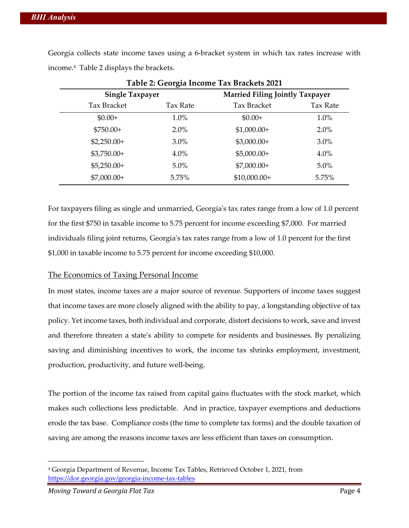Georgia collects state income taxes using a 6-bracket system in which tax rates increase with income.4 Table 2 displays the brackets.

| Table 2: Georgia Income Tax Brackets 2021 |          |                                        |          |
|-------------------------------------------|----------|----------------------------------------|----------|
| <b>Single Taxpayer</b>                    |          | <b>Married Filing Jointly Taxpayer</b> |          |
| <b>Tax Bracket</b>                        | Tax Rate | <b>Tax Bracket</b>                     | Tax Rate |
| $$0.00+$                                  | $1.0\%$  | $$0.00+$                               | 1.0%     |
| $$750.00+$                                | $2.0\%$  | $$1,000.00+$                           | 2.0%     |
| $$2,250.00+$                              | $3.0\%$  | $$3,000.00+$                           | $3.0\%$  |
| $$3,750.00+$                              | $4.0\%$  | $$5,000.00+$                           | $4.0\%$  |
| $$5,250.00+$                              | $5.0\%$  | $$7,000.00+$                           | $5.0\%$  |
| $$7,000.00+$                              | 5.75%    | $$10,000.00+$                          | 5.75%    |

**Table 2: Georgia Income Tax Brackets 2021**

For taxpayers filing as single and unmarried, Georgia's tax rates range from a low of 1.0 percent for the first \$750 in taxable income to 5.75 percent for income exceeding \$7,000. For married individuals filing joint returns, Georgia's tax rates range from a low of 1.0 percent for the first \$1,000 in taxable income to 5.75 percent for income exceeding \$10,000.

#### The Economics of Taxing Personal Income

In most states, income taxes are a major source of revenue. Supporters of income taxes suggest that income taxes are more closely aligned with the ability to pay, a longstanding objective of tax policy. Yet income taxes, both individual and corporate, distort decisions to work, save and invest and therefore threaten a state's ability to compete for residents and businesses. By penalizing saving and diminishing incentives to work, the income tax shrinks employment, investment, production, productivity, and future well-being.

The portion of the income tax raised from capital gains fluctuates with the stock market, which makes such collections less predictable. And in practice, taxpayer exemptions and deductions erode the tax base. Compliance costs (the time to complete tax forms) and the double taxation of saving are among the reasons income taxes are less efficient than taxes on consumption.

<sup>4</sup> Georgia Department of Revenue, Income Tax Tables, Retrieved October 1, 2021, from https://dor.georgia.gov/georgia-income-tax-tables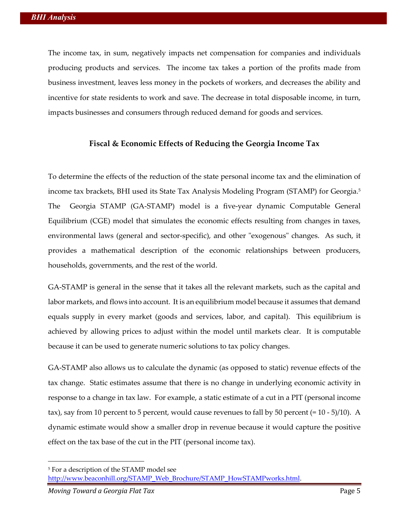The income tax, in sum, negatively impacts net compensation for companies and individuals producing products and services. The income tax takes a portion of the profits made from business investment, leaves less money in the pockets of workers, and decreases the ability and incentive for state residents to work and save. The decrease in total disposable income, in turn, impacts businesses and consumers through reduced demand for goods and services.

#### **Fiscal & Economic Effects of Reducing the Georgia Income Tax**

To determine the effects of the reduction of the state personal income tax and the elimination of income tax brackets, BHI used its State Tax Analysis Modeling Program (STAMP) for Georgia. 5 The Georgia STAMP (GA-STAMP) model is a five-year dynamic Computable General Equilibrium (CGE) model that simulates the economic effects resulting from changes in taxes, environmental laws (general and sector-specific), and other "exogenous" changes. As such, it provides a mathematical description of the economic relationships between producers, households, governments, and the rest of the world.

GA-STAMP is general in the sense that it takes all the relevant markets, such as the capital and labor markets, and flows into account. It is an equilibrium model because it assumes that demand equals supply in every market (goods and services, labor, and capital). This equilibrium is achieved by allowing prices to adjust within the model until markets clear. It is computable because it can be used to generate numeric solutions to tax policy changes.

GA-STAMP also allows us to calculate the dynamic (as opposed to static) revenue effects of the tax change. Static estimates assume that there is no change in underlying economic activity in response to a change in tax law. For example, a static estimate of a cut in a PIT (personal income tax), say from 10 percent to 5 percent, would cause revenues to fall by 50 percent (= 10 - 5)/10). A dynamic estimate would show a smaller drop in revenue because it would capture the positive effect on the tax base of the cut in the PIT (personal income tax).

<sup>5</sup> For a description of the STAMP model see http://www.beaconhill.org/STAMP\_Web\_Brochure/STAMP\_HowSTAMPworks.html.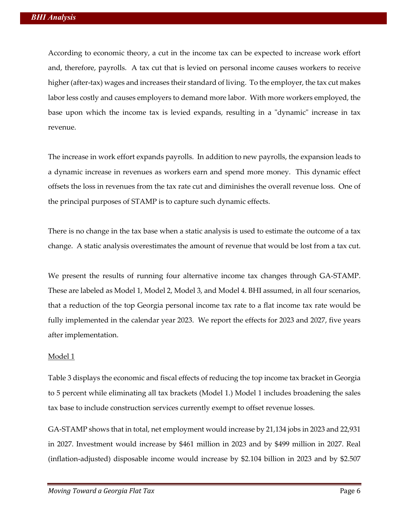According to economic theory, a cut in the income tax can be expected to increase work effort and, therefore, payrolls. A tax cut that is levied on personal income causes workers to receive higher (after-tax) wages and increases their standard of living. To the employer, the tax cut makes labor less costly and causes employers to demand more labor. With more workers employed, the base upon which the income tax is levied expands, resulting in a "dynamic" increase in tax revenue.

The increase in work effort expands payrolls. In addition to new payrolls, the expansion leads to a dynamic increase in revenues as workers earn and spend more money. This dynamic effect offsets the loss in revenues from the tax rate cut and diminishes the overall revenue loss. One of the principal purposes of STAMP is to capture such dynamic effects.

There is no change in the tax base when a static analysis is used to estimate the outcome of a tax change. A static analysis overestimates the amount of revenue that would be lost from a tax cut.

We present the results of running four alternative income tax changes through GA-STAMP. These are labeled as Model 1, Model 2, Model 3, and Model 4. BHI assumed, in all four scenarios, that a reduction of the top Georgia personal income tax rate to a flat income tax rate would be fully implemented in the calendar year 2023. We report the effects for 2023 and 2027, five years after implementation.

#### Model 1

Table 3 displays the economic and fiscal effects of reducing the top income tax bracket in Georgia to 5 percent while eliminating all tax brackets (Model 1.) Model 1 includes broadening the sales tax base to include construction services currently exempt to offset revenue losses.

GA-STAMP shows that in total, net employment would increase by 21,134 jobs in 2023 and 22,931 in 2027. Investment would increase by \$461 million in 2023 and by \$499 million in 2027. Real (inflation-adjusted) disposable income would increase by \$2.104 billion in 2023 and by \$2.507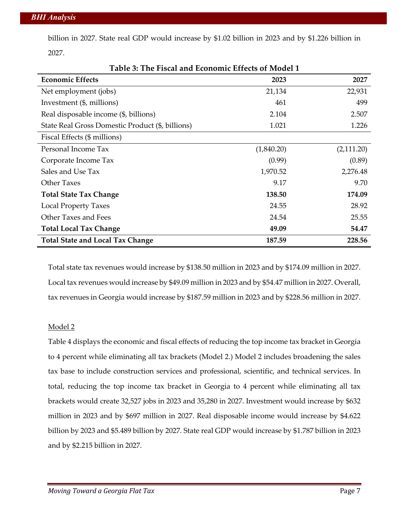billion in 2027. State real GDP would increase by \$1.02 billion in 2023 and by \$1.226 billion in 2027.

| Tubic 9. The Tiseal and Economic Enteres of Model T<br><b>Economic Effects</b> | 2023       | 2027       |
|--------------------------------------------------------------------------------|------------|------------|
| Net employment (jobs)                                                          | 21,134     | 22,931     |
| Investment (\$, millions)                                                      | 461        | 499        |
| Real disposable income (\$, billions)                                          | 2.104      | 2.507      |
| State Real Gross Domestic Product (\$, billions)                               | 1.021      | 1.226      |
| Fiscal Effects (\$ millions)                                                   |            |            |
| Personal Income Tax                                                            | (1,840.20) | (2,111.20) |
| Corporate Income Tax                                                           | (0.99)     | (0.89)     |
| Sales and Use Tax                                                              | 1,970.52   | 2,276.48   |
| <b>Other Taxes</b>                                                             | 9.17       | 9.70       |
| <b>Total State Tax Change</b>                                                  | 138.50     | 174.09     |
| <b>Local Property Taxes</b>                                                    | 24.55      | 28.92      |
| Other Taxes and Fees                                                           | 24.54      | 25.55      |
| <b>Total Local Tax Change</b>                                                  | 49.09      | 54.47      |
| <b>Total State and Local Tax Change</b>                                        | 187.59     | 228.56     |

**Table 3: The Fiscal and Economic Effects of Model 1**

Total state tax revenues would increase by \$138.50 million in 2023 and by \$174.09 million in 2027. Local tax revenues would increase by \$49.09 million in 2023 and by \$54.47 million in 2027. Overall, tax revenues in Georgia would increase by \$187.59 million in 2023 and by \$228.56 million in 2027.

#### Model 2

Table 4 displays the economic and fiscal effects of reducing the top income tax bracket in Georgia to 4 percent while eliminating all tax brackets (Model 2.) Model 2 includes broadening the sales tax base to include construction services and professional, scientific, and technical services. In total, reducing the top income tax bracket in Georgia to 4 percent while eliminating all tax brackets would create 32,527 jobs in 2023 and 35,280 in 2027. Investment would increase by \$632 million in 2023 and by \$697 million in 2027. Real disposable income would increase by \$4.622 billion by 2023 and \$5.489 billion by 2027. State real GDP would increase by \$1.787 billion in 2023 and by \$2.215 billion in 2027.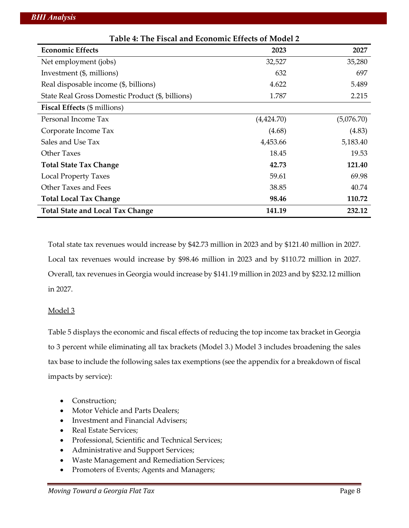| Table 4: The Fiscal and Economic Effects of Model 2 |            |            |  |
|-----------------------------------------------------|------------|------------|--|
| <b>Economic Effects</b>                             | 2023       | 2027       |  |
| Net employment (jobs)                               | 32,527     | 35,280     |  |
| Investment (\$, millions)                           | 632        | 697        |  |
| Real disposable income (\$, billions)               | 4.622      | 5.489      |  |
| State Real Gross Domestic Product (\$, billions)    | 1.787      | 2.215      |  |
| <b>Fiscal Effects</b> (\$ millions)                 |            |            |  |
| Personal Income Tax                                 | (4,424.70) | (5,076.70) |  |
| Corporate Income Tax                                | (4.68)     | (4.83)     |  |
| Sales and Use Tax                                   | 4,453.66   | 5,183.40   |  |
| <b>Other Taxes</b>                                  | 18.45      | 19.53      |  |
| <b>Total State Tax Change</b>                       | 42.73      | 121.40     |  |
| <b>Local Property Taxes</b>                         | 59.61      | 69.98      |  |
| Other Taxes and Fees                                | 38.85      | 40.74      |  |
| <b>Total Local Tax Change</b>                       | 98.46      | 110.72     |  |
| <b>Total State and Local Tax Change</b>             | 141.19     | 232.12     |  |

Total state tax revenues would increase by \$42.73 million in 2023 and by \$121.40 million in 2027. Local tax revenues would increase by \$98.46 million in 2023 and by \$110.72 million in 2027. Overall, tax revenues in Georgia would increase by \$141.19 million in 2023 and by \$232.12 million in 2027.

#### Model 3

Table 5 displays the economic and fiscal effects of reducing the top income tax bracket in Georgia to 3 percent while eliminating all tax brackets (Model 3.) Model 3 includes broadening the sales tax base to include the following sales tax exemptions (see the appendix for a breakdown of fiscal impacts by service):

- Construction;
- Motor Vehicle and Parts Dealers;
- Investment and Financial Advisers;
- Real Estate Services;
- Professional, Scientific and Technical Services;
- Administrative and Support Services;
- Waste Management and Remediation Services;
- Promoters of Events; Agents and Managers;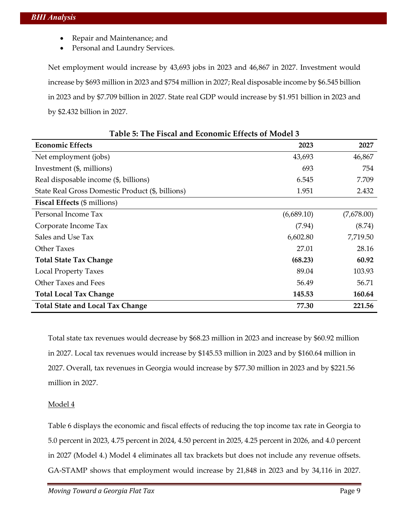- Repair and Maintenance; and
- Personal and Laundry Services.

Net employment would increase by 43,693 jobs in 2023 and 46,867 in 2027. Investment would increase by \$693 million in 2023 and \$754 million in 2027; Real disposable income by \$6.545 billion in 2023 and by \$7.709 billion in 2027. State real GDP would increase by \$1.951 billion in 2023 and by \$2.432 billion in 2027.

| <b>Economic Effects</b>                          | 2023       | 2027       |
|--------------------------------------------------|------------|------------|
| Net employment (jobs)                            | 43,693     | 46,867     |
| Investment (\$, millions)                        | 693        | 754        |
| Real disposable income (\$, billions)            | 6.545      | 7.709      |
| State Real Gross Domestic Product (\$, billions) | 1.951      | 2.432      |
| <b>Fiscal Effects</b> (\$ millions)              |            |            |
| Personal Income Tax                              | (6,689.10) | (7,678.00) |
| Corporate Income Tax                             | (7.94)     | (8.74)     |
| Sales and Use Tax                                | 6,602.80   | 7,719.50   |
| <b>Other Taxes</b>                               | 27.01      | 28.16      |
| <b>Total State Tax Change</b>                    | (68.23)    | 60.92      |
| <b>Local Property Taxes</b>                      | 89.04      | 103.93     |
| Other Taxes and Fees                             | 56.49      | 56.71      |
| <b>Total Local Tax Change</b>                    | 145.53     | 160.64     |
| <b>Total State and Local Tax Change</b>          | 77.30      | 221.56     |

|  | Table 5: The Fiscal and Economic Effects of Model 3 |  |  |  |
|--|-----------------------------------------------------|--|--|--|
|--|-----------------------------------------------------|--|--|--|

Total state tax revenues would decrease by \$68.23 million in 2023 and increase by \$60.92 million in 2027. Local tax revenues would increase by \$145.53 million in 2023 and by \$160.64 million in 2027. Overall, tax revenues in Georgia would increase by \$77.30 million in 2023 and by \$221.56 million in 2027.

#### Model 4

Table 6 displays the economic and fiscal effects of reducing the top income tax rate in Georgia to 5.0 percent in 2023, 4.75 percent in 2024, 4.50 percent in 2025, 4.25 percent in 2026, and 4.0 percent in 2027 (Model 4.) Model 4 eliminates all tax brackets but does not include any revenue offsets. GA-STAMP shows that employment would increase by 21,848 in 2023 and by 34,116 in 2027.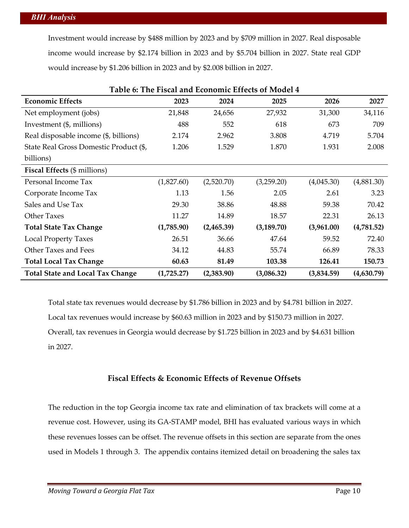Investment would increase by \$488 million by 2023 and by \$709 million in 2027. Real disposable income would increase by \$2.174 billion in 2023 and by \$5.704 billion in 2027. State real GDP would increase by \$1.206 billion in 2023 and by \$2.008 billion in 2027.

| Table 6: The Fiscal and Economic Effects of Model 4 |            |            |             |            |            |
|-----------------------------------------------------|------------|------------|-------------|------------|------------|
| <b>Economic Effects</b>                             | 2023       | 2024       | 2025        | 2026       | 2027       |
| Net employment (jobs)                               | 21,848     | 24,656     | 27,932      | 31,300     | 34,116     |
| Investment (\$, millions)                           | 488        | 552        | 618         | 673        | 709        |
| Real disposable income (\$, billions)               | 2.174      | 2.962      | 3.808       | 4.719      | 5.704      |
| State Real Gross Domestic Product (\$,              | 1.206      | 1.529      | 1.870       | 1.931      | 2.008      |
| billions)                                           |            |            |             |            |            |
| <b>Fiscal Effects</b> (\$ millions)                 |            |            |             |            |            |
| Personal Income Tax                                 | (1,827.60) | (2,520.70) | (3,259.20)  | (4,045.30) | (4,881.30) |
| Corporate Income Tax                                | 1.13       | 1.56       | 2.05        | 2.61       | 3.23       |
| Sales and Use Tax                                   | 29.30      | 38.86      | 48.88       | 59.38      | 70.42      |
| <b>Other Taxes</b>                                  | 11.27      | 14.89      | 18.57       | 22.31      | 26.13      |
| <b>Total State Tax Change</b>                       | (1,785.90) | (2,465.39) | (3, 189.70) | (3,961.00) | (4,781.52) |
| <b>Local Property Taxes</b>                         | 26.51      | 36.66      | 47.64       | 59.52      | 72.40      |
| Other Taxes and Fees                                | 34.12      | 44.83      | 55.74       | 66.89      | 78.33      |
| <b>Total Local Tax Change</b>                       | 60.63      | 81.49      | 103.38      | 126.41     | 150.73     |
| <b>Total State and Local Tax Change</b>             | (1,725.27) | (2,383.90) | (3,086.32)  | (3,834.59) | (4,630.79) |

Total state tax revenues would decrease by \$1.786 billion in 2023 and by \$4.781 billion in 2027. Local tax revenues would increase by \$60.63 million in 2023 and by \$150.73 million in 2027. Overall, tax revenues in Georgia would decrease by \$1.725 billion in 2023 and by \$4.631 billion in 2027.

### **Fiscal Effects & Economic Effects of Revenue Offsets**

The reduction in the top Georgia income tax rate and elimination of tax brackets will come at a revenue cost. However, using its GA-STAMP model, BHI has evaluated various ways in which these revenues losses can be offset. The revenue offsets in this section are separate from the ones used in Models 1 through 3. The appendix contains itemized detail on broadening the sales tax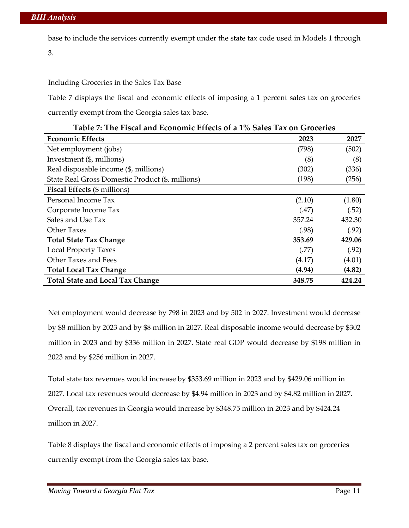base to include the services currently exempt under the state tax code used in Models 1 through 3.

#### Including Groceries in the Sales Tax Base

Table 7 displays the fiscal and economic effects of imposing a 1 percent sales tax on groceries currently exempt from the Georgia sales tax base.

| <b>Economic Effects</b>                          | 2023   | 2027   |
|--------------------------------------------------|--------|--------|
| Net employment (jobs)                            | (798)  | (502)  |
| Investment (\$, millions)                        | (8)    | (8)    |
| Real disposable income (\$, millions)            | (302)  | (336)  |
| State Real Gross Domestic Product (\$, millions) | (198)  | (256)  |
| <b>Fiscal Effects</b> (\$ millions)              |        |        |
| Personal Income Tax                              | (2.10) | (1.80) |
| Corporate Income Tax                             | (.47)  | (.52)  |
| Sales and Use Tax                                | 357.24 | 432.30 |
| Other Taxes                                      | (.98)  | (.92)  |
| <b>Total State Tax Change</b>                    | 353.69 | 429.06 |
| <b>Local Property Taxes</b>                      | (.77)  | (.92)  |
| Other Taxes and Fees                             | (4.17) | (4.01) |
| <b>Total Local Tax Change</b>                    | (4.94) | (4.82) |
| <b>Total State and Local Tax Change</b>          | 348.75 | 424.24 |

|  |  |  | Table 7: The Fiscal and Economic Effects of a 1% Sales Tax on Groceries |
|--|--|--|-------------------------------------------------------------------------|
|--|--|--|-------------------------------------------------------------------------|

Net employment would decrease by 798 in 2023 and by 502 in 2027. Investment would decrease by \$8 million by 2023 and by \$8 million in 2027. Real disposable income would decrease by \$302 million in 2023 and by \$336 million in 2027. State real GDP would decrease by \$198 million in 2023 and by \$256 million in 2027.

Total state tax revenues would increase by \$353.69 million in 2023 and by \$429.06 million in 2027. Local tax revenues would decrease by \$4.94 million in 2023 and by \$4.82 million in 2027. Overall, tax revenues in Georgia would increase by \$348.75 million in 2023 and by \$424.24 million in 2027.

Table 8 displays the fiscal and economic effects of imposing a 2 percent sales tax on groceries currently exempt from the Georgia sales tax base.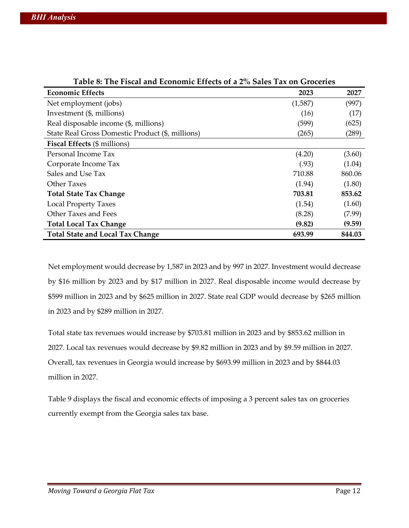| Table 8: The Fiscal and Economic Effects of a 2% Sales Tax on Groceries |         |        |  |  |
|-------------------------------------------------------------------------|---------|--------|--|--|
| <b>Economic Effects</b>                                                 | 2023    | 2027   |  |  |
| Net employment (jobs)                                                   | (1,587) | (997)  |  |  |
| Investment (\$, millions)                                               | (16)    | (17)   |  |  |
| Real disposable income (\$, millions)                                   | (599)   | (625)  |  |  |
| State Real Gross Domestic Product (\$, millions)                        | (265)   | (289)  |  |  |
| <b>Fiscal Effects</b> (\$ millions)                                     |         |        |  |  |
| Personal Income Tax                                                     | (4.20)  | (3.60) |  |  |
| Corporate Income Tax                                                    | (.93)   | (1.04) |  |  |
| Sales and Use Tax                                                       | 710.88  | 860.06 |  |  |
| <b>Other Taxes</b>                                                      | (1.94)  | (1.80) |  |  |
| <b>Total State Tax Change</b>                                           | 703.81  | 853.62 |  |  |
| <b>Local Property Taxes</b>                                             | (1.54)  | (1.60) |  |  |
| Other Taxes and Fees                                                    | (8.28)  | (7.99) |  |  |
| <b>Total Local Tax Change</b>                                           | (9.82)  | (9.59) |  |  |
| <b>Total State and Local Tax Change</b>                                 | 693.99  | 844.03 |  |  |

Net employment would decrease by 1,587 in 2023 and by 997 in 2027. Investment would decrease by \$16 million by 2023 and by \$17 million in 2027. Real disposable income would decrease by \$599 million in 2023 and by \$625 million in 2027. State real GDP would decrease by \$265 million in 2023 and by \$289 million in 2027.

Total state tax revenues would increase by \$703.81 million in 2023 and by \$853.62 million in 2027. Local tax revenues would decrease by \$9.82 million in 2023 and by \$9.59 million in 2027. Overall, tax revenues in Georgia would increase by \$693.99 million in 2023 and by \$844.03 million in 2027.

Table 9 displays the fiscal and economic effects of imposing a 3 percent sales tax on groceries currently exempt from the Georgia sales tax base.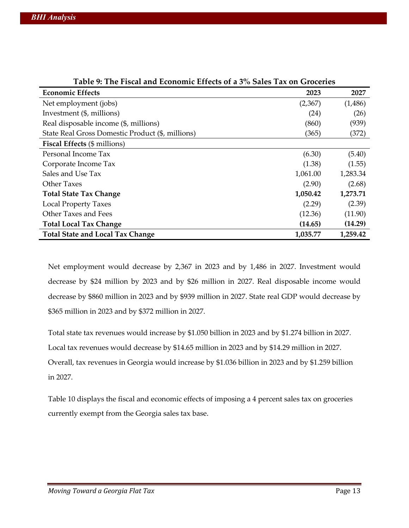| Table 9: The Fiscal and Economic Effects of a 5% Sales Tax on Grocerles |          |          |  |  |
|-------------------------------------------------------------------------|----------|----------|--|--|
| <b>Economic Effects</b>                                                 | 2023     | 2027     |  |  |
| Net employment (jobs)                                                   | (2,367)  | (1,486)  |  |  |
| Investment (\$, millions)                                               | (24)     | (26)     |  |  |
| Real disposable income (\$, millions)                                   | (860)    | (939)    |  |  |
| State Real Gross Domestic Product (\$, millions)                        | (365)    | (372)    |  |  |
| <b>Fiscal Effects</b> (\$ millions)                                     |          |          |  |  |
| Personal Income Tax                                                     | (6.30)   | (5.40)   |  |  |
| Corporate Income Tax                                                    | (1.38)   | (1.55)   |  |  |
| Sales and Use Tax                                                       | 1,061.00 | 1,283.34 |  |  |
| Other Taxes                                                             | (2.90)   | (2.68)   |  |  |
| <b>Total State Tax Change</b>                                           | 1,050.42 | 1,273.71 |  |  |
| <b>Local Property Taxes</b>                                             | (2.29)   | (2.39)   |  |  |
| Other Taxes and Fees                                                    | (12.36)  | (11.90)  |  |  |
| <b>Total Local Tax Change</b>                                           | (14.65)  | (14.29)  |  |  |
| <b>Total State and Local Tax Change</b>                                 | 1,035.77 | 1,259.42 |  |  |

| Table 9: The Fiscal and Economic Effects of a 3% Sales Tax on Groceries |  |  |  |  |
|-------------------------------------------------------------------------|--|--|--|--|
|                                                                         |  |  |  |  |

Net employment would decrease by 2,367 in 2023 and by 1,486 in 2027. Investment would decrease by \$24 million by 2023 and by \$26 million in 2027. Real disposable income would decrease by \$860 million in 2023 and by \$939 million in 2027. State real GDP would decrease by \$365 million in 2023 and by \$372 million in 2027.

Total state tax revenues would increase by \$1.050 billion in 2023 and by \$1.274 billion in 2027. Local tax revenues would decrease by \$14.65 million in 2023 and by \$14.29 million in 2027. Overall, tax revenues in Georgia would increase by \$1.036 billion in 2023 and by \$1.259 billion in 2027.

Table 10 displays the fiscal and economic effects of imposing a 4 percent sales tax on groceries currently exempt from the Georgia sales tax base.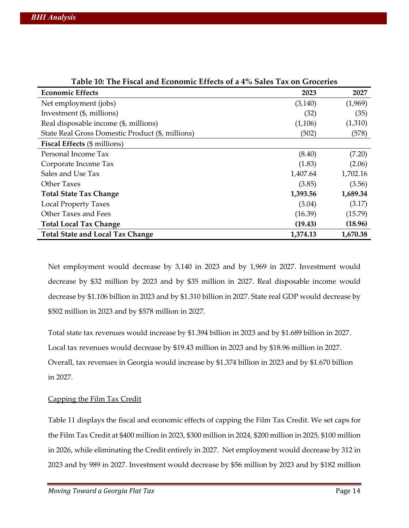| Table IV: The Fiscal and Economic Effects of a 4% Sales Tax on Groceries |          |          |  |  |
|--------------------------------------------------------------------------|----------|----------|--|--|
| <b>Economic Effects</b>                                                  | 2023     | 2027     |  |  |
| Net employment (jobs)                                                    | (3, 140) | (1,969)  |  |  |
| Investment (\$, millions)                                                | (32)     | (35)     |  |  |
| Real disposable income (\$, millions)                                    | (1,106)  | (1,310)  |  |  |
| State Real Gross Domestic Product (\$, millions)                         | (502)    | (578)    |  |  |
| <b>Fiscal Effects</b> (\$ millions)                                      |          |          |  |  |
| Personal Income Tax                                                      | (8.40)   | (7.20)   |  |  |
| Corporate Income Tax                                                     | (1.83)   | (2.06)   |  |  |
| Sales and Use Tax                                                        | 1,407.64 | 1,702.16 |  |  |
| Other Taxes                                                              | (3.85)   | (3.56)   |  |  |
| <b>Total State Tax Change</b>                                            | 1,393.56 | 1,689.34 |  |  |
| <b>Local Property Taxes</b>                                              | (3.04)   | (3.17)   |  |  |
| Other Taxes and Fees                                                     | (16.39)  | (15.79)  |  |  |
| <b>Total Local Tax Change</b>                                            | (19.43)  | (18.96)  |  |  |
| <b>Total State and Local Tax Change</b>                                  | 1,374.13 | 1,670.38 |  |  |

|  | Table 10: The Fiscal and Economic Effects of a 4% Sales Tax on Groceries |  |  |  |  |  |
|--|--------------------------------------------------------------------------|--|--|--|--|--|
|  |                                                                          |  |  |  |  |  |

Net employment would decrease by 3,140 in 2023 and by 1,969 in 2027. Investment would decrease by \$32 million by 2023 and by \$35 million in 2027. Real disposable income would decrease by \$1.106 billion in 2023 and by \$1.310 billion in 2027. State real GDP would decrease by \$502 million in 2023 and by \$578 million in 2027.

Total state tax revenues would increase by \$1.394 billion in 2023 and by \$1.689 billion in 2027. Local tax revenues would decrease by \$19.43 million in 2023 and by \$18.96 million in 2027. Overall, tax revenues in Georgia would increase by \$1.374 billion in 2023 and by \$1.670 billion in 2027.

#### Capping the Film Tax Credit

Table 11 displays the fiscal and economic effects of capping the Film Tax Credit. We set caps for the Film Tax Credit at \$400 million in 2023, \$300 million in 2024, \$200 million in 2025, \$100 million in 2026, while eliminating the Credit entirely in 2027. Net employment would decrease by 312 in 2023 and by 989 in 2027. Investment would decrease by \$56 million by 2023 and by \$182 million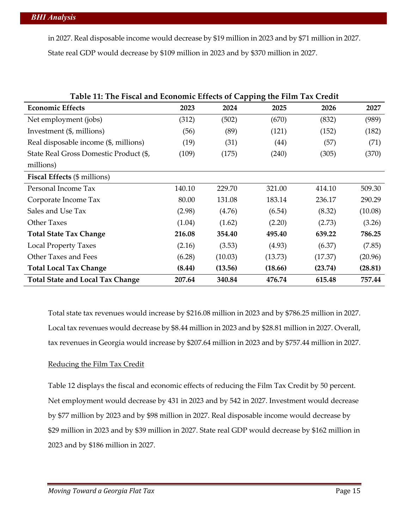in 2027. Real disposable income would decrease by \$19 million in 2023 and by \$71 million in 2027. State real GDP would decrease by \$109 million in 2023 and by \$370 million in 2027.

| Table 11: The Fiscal and Economic Effects of Capping the Film Tax Credit |        |         |         |         |         |
|--------------------------------------------------------------------------|--------|---------|---------|---------|---------|
| <b>Economic Effects</b>                                                  | 2023   | 2024    | 2025    | 2026    | 2027    |
| Net employment (jobs)                                                    | (312)  | (502)   | (670)   | (832)   | (989)   |
| Investment (\$, millions)                                                | (56)   | (89)    | (121)   | (152)   | (182)   |
| Real disposable income (\$, millions)                                    | (19)   | (31)    | (44)    | (57)    | (71)    |
| State Real Gross Domestic Product (\$,                                   | (109)  | (175)   | (240)   | (305)   | (370)   |
| millions)                                                                |        |         |         |         |         |
| <b>Fiscal Effects</b> (\$ millions)                                      |        |         |         |         |         |
| Personal Income Tax                                                      | 140.10 | 229.70  | 321.00  | 414.10  | 509.30  |
| Corporate Income Tax                                                     | 80.00  | 131.08  | 183.14  | 236.17  | 290.29  |
| Sales and Use Tax                                                        | (2.98) | (4.76)  | (6.54)  | (8.32)  | (10.08) |
| <b>Other Taxes</b>                                                       | (1.04) | (1.62)  | (2.20)  | (2.73)  | (3.26)  |
| <b>Total State Tax Change</b>                                            | 216.08 | 354.40  | 495.40  | 639.22  | 786.25  |
| <b>Local Property Taxes</b>                                              | (2.16) | (3.53)  | (4.93)  | (6.37)  | (7.85)  |
| Other Taxes and Fees                                                     | (6.28) | (10.03) | (13.73) | (17.37) | (20.96) |
| <b>Total Local Tax Change</b>                                            | (8.44) | (13.56) | (18.66) | (23.74) | (28.81) |
| <b>Total State and Local Tax Change</b>                                  | 207.64 | 340.84  | 476.74  | 615.48  | 757.44  |

Total state tax revenues would increase by \$216.08 million in 2023 and by \$786.25 million in 2027. Local tax revenues would decrease by \$8.44 million in 2023 and by \$28.81 million in 2027. Overall, tax revenues in Georgia would increase by \$207.64 million in 2023 and by \$757.44 million in 2027.

#### Reducing the Film Tax Credit

Table 12 displays the fiscal and economic effects of reducing the Film Tax Credit by 50 percent. Net employment would decrease by 431 in 2023 and by 542 in 2027. Investment would decrease by \$77 million by 2023 and by \$98 million in 2027. Real disposable income would decrease by \$29 million in 2023 and by \$39 million in 2027. State real GDP would decrease by \$162 million in 2023 and by \$186 million in 2027.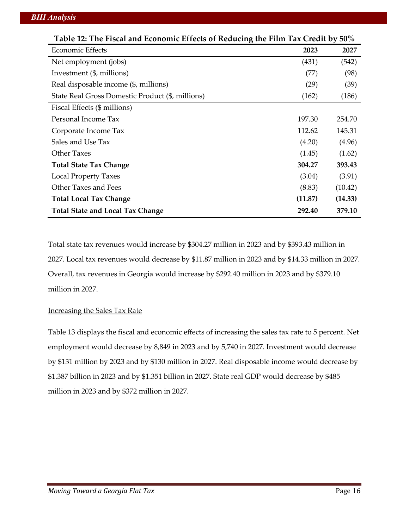| Table 12: The Fiscal and Economic Effects of Reducing the Film Tax Credit by 50% |         |         |  |  |
|----------------------------------------------------------------------------------|---------|---------|--|--|
| <b>Economic Effects</b>                                                          | 2023    | 2027    |  |  |
| Net employment (jobs)                                                            | (431)   | (542)   |  |  |
| Investment (\$, millions)                                                        | (77)    | (98)    |  |  |
| Real disposable income (\$, millions)                                            | (29)    | (39)    |  |  |
| State Real Gross Domestic Product (\$, millions)                                 | (162)   | (186)   |  |  |
| Fiscal Effects (\$ millions)                                                     |         |         |  |  |
| Personal Income Tax                                                              | 197.30  | 254.70  |  |  |
| Corporate Income Tax                                                             | 112.62  | 145.31  |  |  |
| Sales and Use Tax                                                                | (4.20)  | (4.96)  |  |  |
| Other Taxes                                                                      | (1.45)  | (1.62)  |  |  |
| <b>Total State Tax Change</b>                                                    | 304.27  | 393.43  |  |  |
| <b>Local Property Taxes</b>                                                      | (3.04)  | (3.91)  |  |  |
| Other Taxes and Fees                                                             | (8.83)  | (10.42) |  |  |
| <b>Total Local Tax Change</b>                                                    | (11.87) | (14.33) |  |  |
| <b>Total State and Local Tax Change</b>                                          | 292.40  | 379.10  |  |  |

Total state tax revenues would increase by \$304.27 million in 2023 and by \$393.43 million in 2027. Local tax revenues would decrease by \$11.87 million in 2023 and by \$14.33 million in 2027. Overall, tax revenues in Georgia would increase by \$292.40 million in 2023 and by \$379.10 million in 2027.

#### Increasing the Sales Tax Rate

Table 13 displays the fiscal and economic effects of increasing the sales tax rate to 5 percent. Net employment would decrease by 8,849 in 2023 and by 5,740 in 2027. Investment would decrease by \$131 million by 2023 and by \$130 million in 2027. Real disposable income would decrease by \$1.387 billion in 2023 and by \$1.351 billion in 2027. State real GDP would decrease by \$485 million in 2023 and by \$372 million in 2027.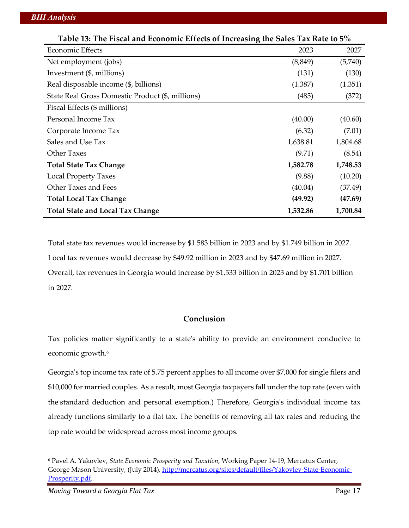| Table 13: The Fiscal and Economic Effects of Increasing the Sales Tax Rate to 5% |          |          |  |  |
|----------------------------------------------------------------------------------|----------|----------|--|--|
| Economic Effects                                                                 | 2023     | 2027     |  |  |
| Net employment (jobs)                                                            | (8, 849) | (5,740)  |  |  |
| Investment (\$, millions)                                                        | (131)    | (130)    |  |  |
| Real disposable income (\$, billions)                                            | (1.387)  | (1.351)  |  |  |
| State Real Gross Domestic Product (\$, millions)                                 | (485)    | (372)    |  |  |
| Fiscal Effects (\$ millions)                                                     |          |          |  |  |
| Personal Income Tax                                                              | (40.00)  | (40.60)  |  |  |
| Corporate Income Tax                                                             | (6.32)   | (7.01)   |  |  |
| Sales and Use Tax                                                                | 1,638.81 | 1,804.68 |  |  |
| Other Taxes                                                                      | (9.71)   | (8.54)   |  |  |
| <b>Total State Tax Change</b>                                                    | 1,582.78 | 1,748.53 |  |  |
| <b>Local Property Taxes</b>                                                      | (9.88)   | (10.20)  |  |  |
| Other Taxes and Fees                                                             | (40.04)  | (37.49)  |  |  |
| <b>Total Local Tax Change</b>                                                    | (49.92)  | (47.69)  |  |  |
| <b>Total State and Local Tax Change</b>                                          | 1,532.86 | 1,700.84 |  |  |

Total state tax revenues would increase by \$1.583 billion in 2023 and by \$1.749 billion in 2027. Local tax revenues would decrease by \$49.92 million in 2023 and by \$47.69 million in 2027. Overall, tax revenues in Georgia would increase by \$1.533 billion in 2023 and by \$1.701 billion in 2027.

### **Conclusion**

Tax policies matter significantly to a state's ability to provide an environment conducive to economic growth.<sup>6</sup>

Georgia's top income tax rate of 5.75 percent applies to all income over \$7,000 for single filers and \$10,000 for married couples. As a result, most Georgia taxpayers fall under the top rate (even with the standard deduction and personal exemption.) Therefore, Georgia's individual income tax already functions similarly to a flat tax. The benefits of removing all tax rates and reducing the top rate would be widespread across most income groups.

<sup>6</sup> Pavel A. Yakovlev, *State Economic Prosperity and Taxation*, Working Paper 14-19, Mercatus Center, George Mason University, (July 2014), http://mercatus.org/sites/default/files/Yakovlev-State-Economic-Prosperity.pdf.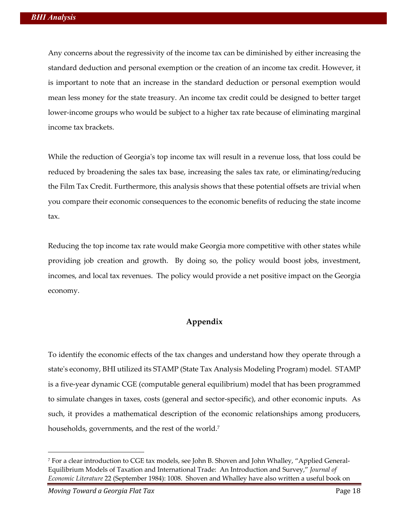Any concerns about the regressivity of the income tax can be diminished by either increasing the standard deduction and personal exemption or the creation of an income tax credit. However, it is important to note that an increase in the standard deduction or personal exemption would mean less money for the state treasury. An income tax credit could be designed to better target lower-income groups who would be subject to a higher tax rate because of eliminating marginal income tax brackets.

While the reduction of Georgia's top income tax will result in a revenue loss, that loss could be reduced by broadening the sales tax base, increasing the sales tax rate, or eliminating/reducing the Film Tax Credit. Furthermore, this analysis shows that these potential offsets are trivial when you compare their economic consequences to the economic benefits of reducing the state income tax.

Reducing the top income tax rate would make Georgia more competitive with other states while providing job creation and growth. By doing so, the policy would boost jobs, investment, incomes, and local tax revenues. The policy would provide a net positive impact on the Georgia economy.

### **Appendix**

To identify the economic effects of the tax changes and understand how they operate through a state's economy, BHI utilized its STAMP (State Tax Analysis Modeling Program) model. STAMP is a five-year dynamic CGE (computable general equilibrium) model that has been programmed to simulate changes in taxes, costs (general and sector-specific), and other economic inputs. As such, it provides a mathematical description of the economic relationships among producers, households, governments, and the rest of the world.<sup>7</sup>

<sup>7</sup> For a clear introduction to CGE tax models, see John B. Shoven and John Whalley, "Applied General-Equilibrium Models of Taxation and International Trade: An Introduction and Survey," *Journal of Economic Literature* 22 (September 1984): 1008. Shoven and Whalley have also written a useful book on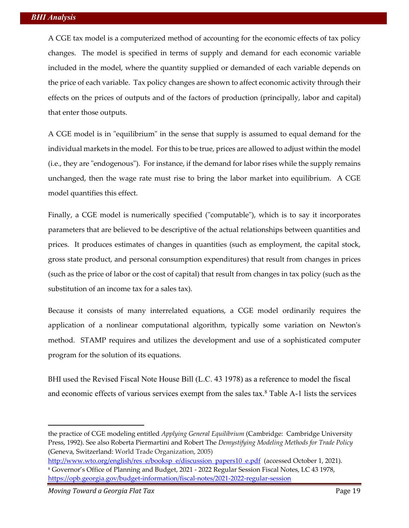A CGE tax model is a computerized method of accounting for the economic effects of tax policy changes. The model is specified in terms of supply and demand for each economic variable included in the model, where the quantity supplied or demanded of each variable depends on the price of each variable. Tax policy changes are shown to affect economic activity through their effects on the prices of outputs and of the factors of production (principally, labor and capital) that enter those outputs.

A CGE model is in "equilibrium" in the sense that supply is assumed to equal demand for the individual markets in the model. For this to be true, prices are allowed to adjust within the model (i.e., they are "endogenous"). For instance, if the demand for labor rises while the supply remains unchanged, then the wage rate must rise to bring the labor market into equilibrium. A CGE model quantifies this effect.

Finally, a CGE model is numerically specified ("computable"), which is to say it incorporates parameters that are believed to be descriptive of the actual relationships between quantities and prices. It produces estimates of changes in quantities (such as employment, the capital stock, gross state product, and personal consumption expenditures) that result from changes in prices (such as the price of labor or the cost of capital) that result from changes in tax policy (such as the substitution of an income tax for a sales tax).

Because it consists of many interrelated equations, a CGE model ordinarily requires the application of a nonlinear computational algorithm, typically some variation on Newton's method. STAMP requires and utilizes the development and use of a sophisticated computer program for the solution of its equations.

BHI used the Revised Fiscal Note House Bill (L.C. 43 1978) as a reference to model the fiscal and economic effects of various services exempt from the sales tax.<sup>8</sup> Table A-1 lists the services

the practice of CGE modeling entitled *Applying General Equilibrium* (Cambridge: Cambridge University Press, 1992). See also Roberta Piermartini and Robert The *Demystifying Modeling Methods for Trade Policy*  (Geneva, Switzerland: World Trade Organization, 2005)

http://www.wto.org/english/res\_e/booksp\_e/discussion\_papers10\_e.pdf (accessed October 1, 2021). <sup>8</sup> Governor's Office of Planning and Budget, 2021 - 2022 Regular Session Fiscal Notes, LC 43 1978, https://opb.georgia.gov/budget-information/fiscal-notes/2021-2022-regular-session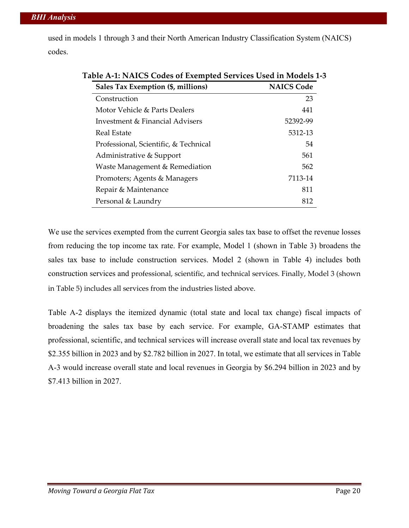used in models 1 through 3 and their North American Industry Classification System (NAICS) codes.

| Sales Tax Exemption (\$, millions)    | <b>NAICS Code</b> |
|---------------------------------------|-------------------|
| Construction                          | 23                |
| Motor Vehicle & Parts Dealers         | 441               |
| Investment & Financial Advisers       | 52392-99          |
| Real Estate                           | 5312-13           |
| Professional, Scientific, & Technical | 54                |
| Administrative & Support              | 561               |
| Waste Management & Remediation        | 562               |
| Promoters; Agents & Managers          | 7113-14           |
| Repair & Maintenance                  | 811               |
| Personal & Laundry                    | 812               |

## **Table A-1: NAICS Codes of Exempted Services Used in Models 1-3**

We use the services exempted from the current Georgia sales tax base to offset the revenue losses from reducing the top income tax rate. For example, Model 1 (shown in Table 3) broadens the sales tax base to include construction services. Model 2 (shown in Table 4) includes both construction services and professional, scientific, and technical services. Finally, Model 3 (shown in Table 5) includes all services from the industries listed above.

Table A-2 displays the itemized dynamic (total state and local tax change) fiscal impacts of broadening the sales tax base by each service. For example, GA-STAMP estimates that professional, scientific, and technical services will increase overall state and local tax revenues by \$2.355 billion in 2023 and by \$2.782 billion in 2027. In total, we estimate that all services in Table A-3 would increase overall state and local revenues in Georgia by \$6.294 billion in 2023 and by \$7.413 billion in 2027.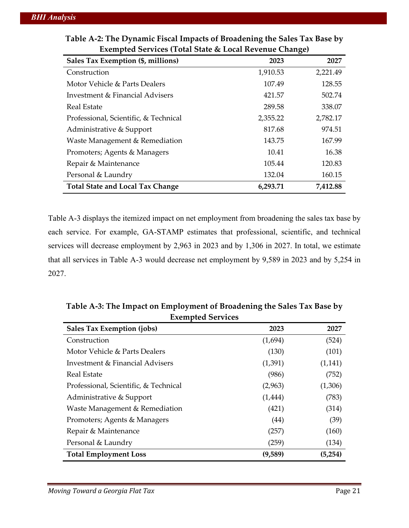| Exempled Services (Total State & Local Revenue Change) |          |          |  |  |  |
|--------------------------------------------------------|----------|----------|--|--|--|
| Sales Tax Exemption (\$, millions)                     | 2023     | 2027     |  |  |  |
| Construction                                           | 1,910.53 | 2,221.49 |  |  |  |
| Motor Vehicle & Parts Dealers                          | 107.49   | 128.55   |  |  |  |
| Investment & Financial Advisers                        | 421.57   | 502.74   |  |  |  |
| Real Estate                                            | 289.58   | 338.07   |  |  |  |
| Professional, Scientific, & Technical                  | 2,355.22 | 2,782.17 |  |  |  |
| Administrative & Support                               | 817.68   | 974.51   |  |  |  |
| Waste Management & Remediation                         | 143.75   | 167.99   |  |  |  |
| Promoters; Agents & Managers                           | 10.41    | 16.38    |  |  |  |
| Repair & Maintenance                                   | 105.44   | 120.83   |  |  |  |
| Personal & Laundry                                     | 132.04   | 160.15   |  |  |  |
| <b>Total State and Local Tax Change</b>                | 6,293.71 | 7,412.88 |  |  |  |

| Table A-2: The Dynamic Fiscal Impacts of Broadening the Sales Tax Base by |  |
|---------------------------------------------------------------------------|--|
| <b>Exempted Services (Total State &amp; Local Revenue Change)</b>         |  |

Table A-3 displays the itemized impact on net employment from broadening the sales tax base by each service. For example, GA-STAMP estimates that professional, scientific, and technical services will decrease employment by 2,963 in 2023 and by 1,306 in 2027. In total, we estimate that all services in Table A-3 would decrease net employment by 9,589 in 2023 and by 5,254 in 2027.

| <b>Sales Tax Exemption (jobs)</b>     | 2023     | 2027     |
|---------------------------------------|----------|----------|
| Construction                          | (1,694)  | (524)    |
| Motor Vehicle & Parts Dealers         | (130)    | (101)    |
| Investment & Financial Advisers       | (1,391)  | (1, 141) |
| Real Estate                           | (986)    | (752)    |
| Professional, Scientific, & Technical | (2,963)  | (1,306)  |
| Administrative & Support              | (1, 444) | (783)    |
| Waste Management & Remediation        | (421)    | (314)    |
| Promoters; Agents & Managers          | (44)     | (39)     |
| Repair & Maintenance                  | (257)    | (160)    |
| Personal & Laundry                    | (259)    | (134)    |
| <b>Total Employment Loss</b>          | (9,589)  | (5,254)  |

**Table A-3: The Impact on Employment of Broadening the Sales Tax Base by Exempted Services**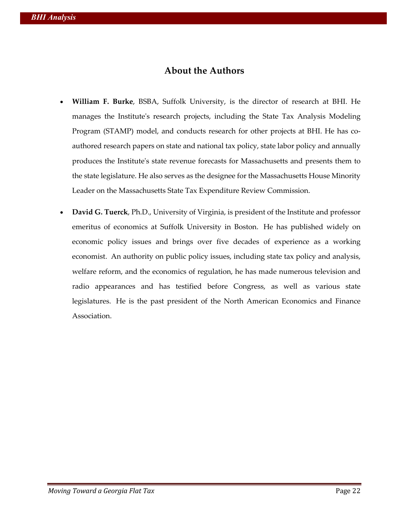## **About the Authors**

- **William F. Burke**, BSBA, Suffolk University, is the director of research at BHI. He manages the Institute's research projects, including the State Tax Analysis Modeling Program (STAMP) model, and conducts research for other projects at BHI. He has coauthored research papers on state and national tax policy, state labor policy and annually produces the Institute's state revenue forecasts for Massachusetts and presents them to the state legislature. He also serves as the designee for the Massachusetts House Minority Leader on the Massachusetts State Tax Expenditure Review Commission.
- **David G. Tuerck**, Ph.D., University of Virginia, is president of the Institute and professor emeritus of economics at Suffolk University in Boston. He has published widely on economic policy issues and brings over five decades of experience as a working economist. An authority on public policy issues, including state tax policy and analysis, welfare reform, and the economics of regulation, he has made numerous television and radio appearances and has testified before Congress, as well as various state legislatures. He is the past president of the North American Economics and Finance Association.